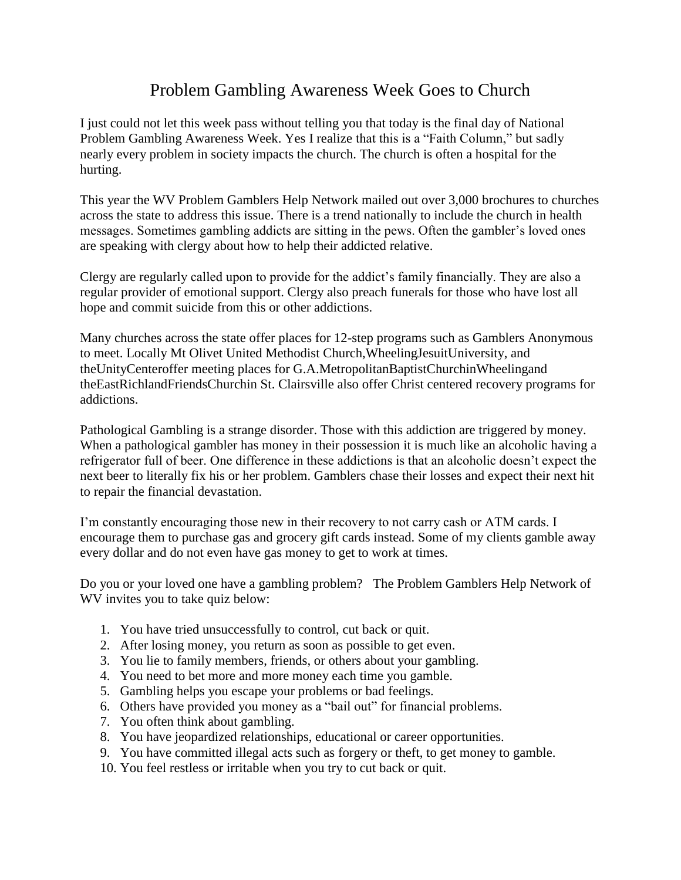## Problem Gambling Awareness Week Goes to Church

I just could not let this week pass without telling you that today is the final day of National Problem Gambling Awareness Week. Yes I realize that this is a "Faith Column," but sadly nearly every problem in society impacts the church. The church is often a hospital for the hurting.

This year the WV Problem Gamblers Help Network mailed out over 3,000 brochures to churches across the state to address this issue. There is a trend nationally to include the church in health messages. Sometimes gambling addicts are sitting in the pews. Often the gambler's loved ones are speaking with clergy about how to help their addicted relative.

Clergy are regularly called upon to provide for the addict's family financially. They are also a regular provider of emotional support. Clergy also preach funerals for those who have lost all hope and commit suicide from this or other addictions.

Many churches across the state offer places for 12-step programs such as Gamblers Anonymous to meet. Locally Mt Olivet United Methodist Church,WheelingJesuitUniversity, and theUnityCenteroffer meeting places for G.A.MetropolitanBaptistChurchinWheelingand theEastRichlandFriendsChurchin St. Clairsville also offer Christ centered recovery programs for addictions.

Pathological Gambling is a strange disorder. Those with this addiction are triggered by money. When a pathological gambler has money in their possession it is much like an alcoholic having a refrigerator full of beer. One difference in these addictions is that an alcoholic doesn't expect the next beer to literally fix his or her problem. Gamblers chase their losses and expect their next hit to repair the financial devastation.

I'm constantly encouraging those new in their recovery to not carry cash or ATM cards. I encourage them to purchase gas and grocery gift cards instead. Some of my clients gamble away every dollar and do not even have gas money to get to work at times.

Do you or your loved one have a gambling problem? The Problem Gamblers Help Network of WV invites you to take quiz below:

- 1. You have tried unsuccessfully to control, cut back or quit.
- 2. After losing money, you return as soon as possible to get even.
- 3. You lie to family members, friends, or others about your gambling.
- 4. You need to bet more and more money each time you gamble.
- 5. Gambling helps you escape your problems or bad feelings.
- 6. Others have provided you money as a "bail out" for financial problems.
- 7. You often think about gambling.
- 8. You have jeopardized relationships, educational or career opportunities.
- 9. You have committed illegal acts such as forgery or theft, to get money to gamble.
- 10. You feel restless or irritable when you try to cut back or quit.